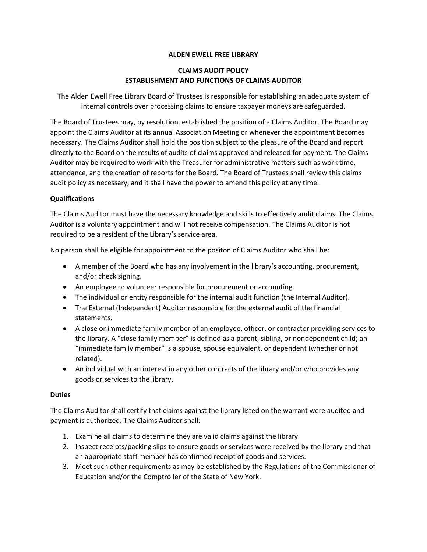## **ALDEN EWELL FREE LIBRARY**

# **CLAIMS AUDIT POLICY ESTABLISHMENT AND FUNCTIONS OF CLAIMS AUDITOR**

The Alden Ewell Free Library Board of Trustees is responsible for establishing an adequate system of internal controls over processing claims to ensure taxpayer moneys are safeguarded.

The Board of Trustees may, by resolution, established the position of a Claims Auditor. The Board may appoint the Claims Auditor at its annual Association Meeting or whenever the appointment becomes necessary. The Claims Auditor shall hold the position subject to the pleasure of the Board and report directly to the Board on the results of audits of claims approved and released for payment. The Claims Auditor may be required to work with the Treasurer for administrative matters such as work time, attendance, and the creation of reports for the Board. The Board of Trustees shall review this claims audit policy as necessary, and it shall have the power to amend this policy at any time.

#### **Qualifications**

The Claims Auditor must have the necessary knowledge and skills to effectively audit claims. The Claims Auditor is a voluntary appointment and will not receive compensation. The Claims Auditor is not required to be a resident of the Library's service area.

No person shall be eligible for appointment to the positon of Claims Auditor who shall be:

- A member of the Board who has any involvement in the library's accounting, procurement, and/or check signing.
- An employee or volunteer responsible for procurement or accounting.
- The individual or entity responsible for the internal audit function (the Internal Auditor).
- The External (Independent) Auditor responsible for the external audit of the financial statements.
- A close or immediate family member of an employee, officer, or contractor providing services to the library. A "close family member" is defined as a parent, sibling, or nondependent child; an "immediate family member" is a spouse, spouse equivalent, or dependent (whether or not related).
- An individual with an interest in any other contracts of the library and/or who provides any goods or services to the library.

### **Duties**

The Claims Auditor shall certify that claims against the library listed on the warrant were audited and payment is authorized. The Claims Auditor shall:

- 1. Examine all claims to determine they are valid claims against the library.
- 2. Inspect receipts/packing slips to ensure goods or services were received by the library and that an appropriate staff member has confirmed receipt of goods and services.
- 3. Meet such other requirements as may be established by the Regulations of the Commissioner of Education and/or the Comptroller of the State of New York.